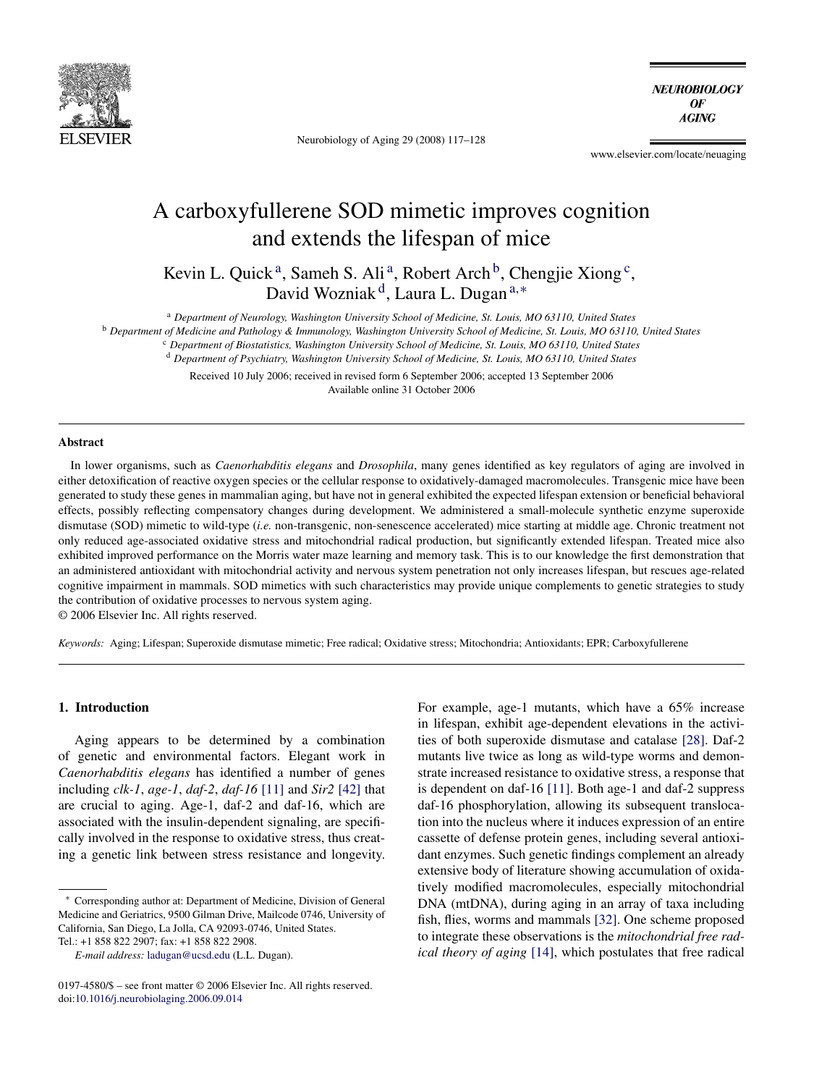

Neurobiology of Aging 29 (2008) 117–128

**NEUROBIOLOGY** OF **AGING** 

www.elsevier.com/locate/neuaging

# A carboxyfullerene SOD mimetic improves cognition and extends the lifespan of mice

Kevin L. Quick<sup>a</sup>, Sameh S. Ali<sup>a</sup>, Robert Arch<sup>b</sup>, Chengjie Xiong<sup>c</sup>, David Wozniak<sup>d</sup>, Laura L. Dugan<sup>a,∗</sup>

<sup>a</sup> *Department of Neurology, Washington University School of Medicine, St. Louis, MO 63110, United States*

<sup>b</sup> *Department of Medicine and Pathology & Immunology, Washington University School of Medicine, St. Louis, MO 63110, United States*

<sup>c</sup> *Department of Biostatistics, Washington University School of Medicine, St. Louis, MO 63110, United States*

<sup>d</sup> *Department of Psychiatry, Washington University School of Medicine, St. Louis, MO 63110, United States*

Received 10 July 2006; received in revised form 6 September 2006; accepted 13 September 2006 Available online 31 October 2006

## **Abstract**

In lower organisms, such as *Caenorhabditis elegans* and *Drosophila*, many genes identified as key regulators of aging are involved in either detoxification of reactive oxygen species or the cellular response to oxidatively-damaged macromolecules. Transgenic mice have been generated to study these genes in mammalian aging, but have not in general exhibited the expected lifespan extension or beneficial behavioral effects, possibly reflecting compensatory changes during development. We administered a small-molecule synthetic enzyme superoxide dismutase (SOD) mimetic to wild-type (*i.e.* non-transgenic, non-senescence accelerated) mice starting at middle age. Chronic treatment not only reduced age-associated oxidative stress and mitochondrial radical production, but significantly extended lifespan. Treated mice also exhibited improved performance on the Morris water maze learning and memory task. This is to our knowledge the first demonstration that an administered antioxidant with mitochondrial activity and nervous system penetration not only increases lifespan, but rescues age-related cognitive impairment in mammals. SOD mimetics with such characteristics may provide unique complements to genetic strategies to study the contribution of oxidative processes to nervous system aging.

© 2006 Elsevier Inc. All rights reserved.

*Keywords:* Aging; Lifespan; Superoxide dismutase mimetic; Free radical; Oxidative stress; Mitochondria; Antioxidants; EPR; Carboxyfullerene

#### **1. Introduction**

Aging appears to be determined by a combination of genetic and environmental factors. Elegant work in *Caenorhabditis elegans* has identified a number of genes including *clk-1*, *age-1*, *daf-2*, *daf-16* [\[11\]](#page-10-0) and *Sir2* [\[42\]](#page-10-0) that are crucial to aging. Age-1, daf-2 and daf-16, which are associated with the insulin-dependent signaling, are specifically involved in the response to oxidative stress, thus creating a genetic link between stress resistance and longevity.

For example, age-1 mutants, which have a 65% increase in lifespan, exhibit age-dependent elevations in the activities of both superoxide dismutase and catalase [\[28\].](#page-10-0) Daf-2 mutants live twice as long as wild-type worms and demonstrate increased resistance to oxidative stress, a response that is dependent on daf-16 [\[11\].](#page-10-0) Both age-1 and daf-2 suppress daf-16 phosphorylation, allowing its subsequent translocation into the nucleus where it induces expression of an entire cassette of defense protein genes, including several antioxidant enzymes. Such genetic findings complement an already extensive body of literature showing accumulation of oxidatively modified macromolecules, especially mitochondrial DNA (mtDNA), during aging in an array of taxa including fish, flies, worms and mammals [\[32\].](#page-10-0) One scheme proposed to integrate these observations is the *mitochondrial free radical theory of aging* [\[14\],](#page-10-0) which postulates that free radical

<sup>∗</sup> Corresponding author at: Department of Medicine, Division of General Medicine and Geriatrics, 9500 Gilman Drive, Mailcode 0746, University of California, San Diego, La Jolla, CA 92093-0746, United States. Tel.: +1 858 822 2907; fax: +1 858 822 2908.

*E-mail address:* [ladugan@ucsd.edu](mailto:ladugan@ucsd.edu) (L.L. Dugan).

<sup>0197-4580/\$ –</sup> see front matter © 2006 Elsevier Inc. All rights reserved. doi[:10.1016/j.neurobiolaging.2006.09.014](dx.doi.org/10.1016/j.neurobiolaging.2006.09.014)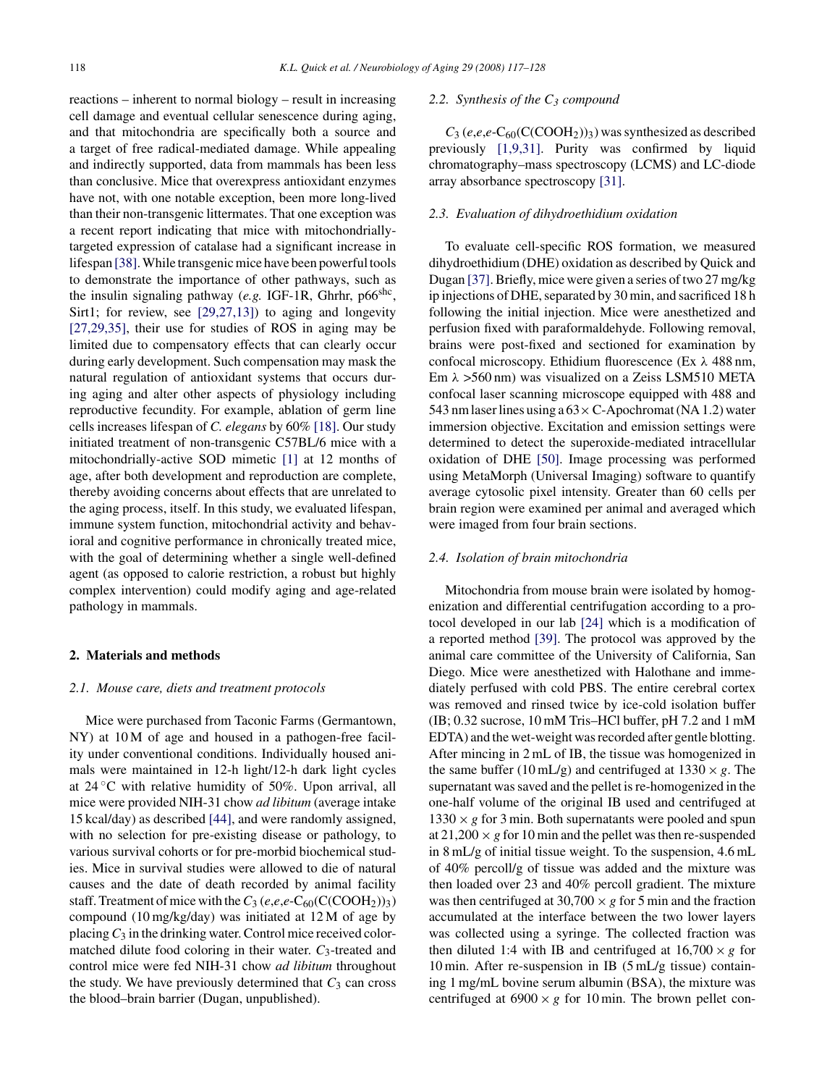reactions – inherent to normal biology – result in increasing cell damage and eventual cellular senescence during aging, and that mitochondria are specifically both a source and a target of free radical-mediated damage. While appealing and indirectly supported, data from mammals has been less than conclusive. Mice that overexpress antioxidant enzymes have not, with one notable exception, been more long-lived than their non-transgenic littermates. That one exception was a recent report indicating that mice with mitochondriallytargeted expression of catalase had a significant increase in lifespan [\[38\]. W](#page-10-0)hile transgenic mice have been powerful tools to demonstrate the importance of other pathways, such as the insulin signaling pathway (*e.g.* IGF-1R, Ghrhr, p66shc, Sirt1; for review, see [\[29,27,13\]\)](#page-10-0) to aging and longevity [\[27,29,35\],](#page-10-0) their use for studies of ROS in aging may be limited due to compensatory effects that can clearly occur during early development. Such compensation may mask the natural regulation of antioxidant systems that occurs during aging and alter other aspects of physiology including reproductive fecundity. For example, ablation of germ line cells increases lifespan of *C. elegans* by 60% [\[18\]. O](#page-10-0)ur study initiated treatment of non-transgenic C57BL/6 mice with a mitochondrially-active SOD mimetic [\[1\]](#page-10-0) at 12 months of age, after both development and reproduction are complete, thereby avoiding concerns about effects that are unrelated to the aging process, itself. In this study, we evaluated lifespan, immune system function, mitochondrial activity and behavioral and cognitive performance in chronically treated mice, with the goal of determining whether a single well-defined agent (as opposed to calorie restriction, a robust but highly complex intervention) could modify aging and age-related pathology in mammals.

# **2. Materials and methods**

#### *2.1. Mouse care, diets and treatment protocols*

Mice were purchased from Taconic Farms (Germantown, NY) at 10 M of age and housed in a pathogen-free facility under conventional conditions. Individually housed animals were maintained in 12-h light/12-h dark light cycles at  $24\degree C$  with relative humidity of 50%. Upon arrival, all mice were provided NIH-31 chow *ad libitum* (average intake 15 kcal/day) as described [\[44\],](#page-10-0) and were randomly assigned, with no selection for pre-existing disease or pathology, to various survival cohorts or for pre-morbid biochemical studies. Mice in survival studies were allowed to die of natural causes and the date of death recorded by animal facility staff. Treatment of mice with the  $C_3$  (*e*,*e*,*e*-C<sub>60</sub>(C(COOH<sub>2</sub>))<sub>3</sub>) compound (10 mg/kg/day) was initiated at 12 M of age by placing*C*<sup>3</sup> in the drinking water. Control mice received colormatched dilute food coloring in their water.  $C_3$ -treated and control mice were fed NIH-31 chow *ad libitum* throughout the study. We have previously determined that  $C_3$  can cross the blood–brain barrier (Dugan, unpublished).

## *2.2. Synthesis of the C3 compound*

 $C_3$  (*e*,*e*,*e*-C<sub>60</sub>(C(COOH<sub>2</sub>))<sub>3</sub>) was synthesized as described previously [\[1,9,31\].](#page-10-0) Purity was confirmed by liquid chromatography–mass spectroscopy (LCMS) and LC-diode array absorbance spectroscopy [\[31\].](#page-10-0)

## *2.3. Evaluation of dihydroethidium oxidation*

To evaluate cell-specific ROS formation, we measured dihydroethidium (DHE) oxidation as described by Quick and Dugan [\[37\]. B](#page-10-0)riefly, mice were given a series of two 27 mg/kg ip injections of DHE, separated by 30 min, and sacrificed 18 h following the initial injection. Mice were anesthetized and perfusion fixed with paraformaldehyde. Following removal, brains were post-fixed and sectioned for examination by confocal microscopy. Ethidium fluorescence (Ex λ 488 nm, Em  $\lambda$  >560 nm) was visualized on a Zeiss LSM510 META confocal laser scanning microscope equipped with 488 and 543 nm laser lines using a  $63 \times C$ -Apochromat (NA 1.2) water immersion objective. Excitation and emission settings were determined to detect the superoxide-mediated intracellular oxidation of DHE [\[50\].](#page-11-0) Image processing was performed using MetaMorph (Universal Imaging) software to quantify average cytosolic pixel intensity. Greater than 60 cells per brain region were examined per animal and averaged which were imaged from four brain sections.

#### *2.4. Isolation of brain mitochondria*

Mitochondria from mouse brain were isolated by homogenization and differential centrifugation according to a protocol developed in our lab [\[24\]](#page-10-0) which is a modification of a reported method [\[39\].](#page-10-0) The protocol was approved by the animal care committee of the University of California, San Diego. Mice were anesthetized with Halothane and immediately perfused with cold PBS. The entire cerebral cortex was removed and rinsed twice by ice-cold isolation buffer (IB; 0.32 sucrose, 10 mM Tris–HCl buffer, pH 7.2 and 1 mM EDTA) and the wet-weight was recorded after gentle blotting. After mincing in 2 mL of IB, the tissue was homogenized in the same buffer (10 mL/g) and centrifuged at  $1330 \times g$ . The supernatant was saved and the pellet is re-homogenized in the one-half volume of the original IB used and centrifuged at  $1330 \times g$  for 3 min. Both supernatants were pooled and spun at  $21,200 \times g$  for 10 min and the pellet was then re-suspended in 8 mL/g of initial tissue weight. To the suspension, 4.6 mL of 40% percoll/g of tissue was added and the mixture was then loaded over 23 and 40% percoll gradient. The mixture was then centrifuged at  $30,700 \times g$  for 5 min and the fraction accumulated at the interface between the two lower layers was collected using a syringe. The collected fraction was then diluted 1:4 with IB and centrifuged at  $16,700 \times g$  for 10 min. After re-suspension in IB (5 mL/g tissue) containing 1 mg/mL bovine serum albumin (BSA), the mixture was centrifuged at  $6900 \times g$  for 10 min. The brown pellet con-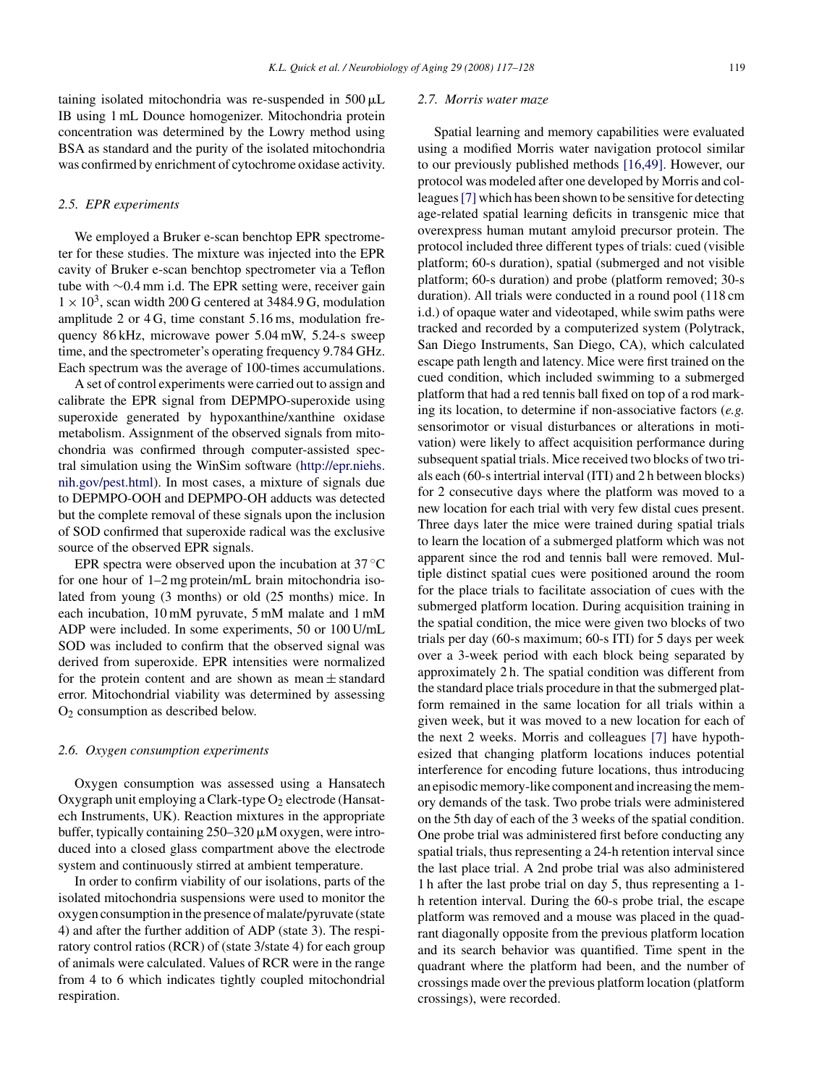taining isolated mitochondria was re-suspended in  $500 \mu L$ IB using 1 mL Dounce homogenizer. Mitochondria protein concentration was determined by the Lowry method using BSA as standard and the purity of the isolated mitochondria was confirmed by enrichment of cytochrome oxidase activity.

#### *2.5. EPR experiments*

We employed a Bruker e-scan benchtop EPR spectrometer for these studies. The mixture was injected into the EPR cavity of Bruker e-scan benchtop spectrometer via a Teflon tube with ∼0.4 mm i.d. The EPR setting were, receiver gain  $1 \times 10^3$ , scan width 200 G centered at 3484.9 G, modulation amplitude 2 or 4 G, time constant 5.16 ms, modulation frequency 86 kHz, microwave power 5.04 mW, 5.24-s sweep time, and the spectrometer's operating frequency 9.784 GHz. Each spectrum was the average of 100-times accumulations.

A set of control experiments were carried out to assign and calibrate the EPR signal from DEPMPO-superoxide using superoxide generated by hypoxanthine/xanthine oxidase metabolism. Assignment of the observed signals from mitochondria was confirmed through computer-assisted spectral simulation using the WinSim software ([http://epr.niehs.](http://epr.niehs.nih.gov/pest.html) [nih.gov/pest.html](http://epr.niehs.nih.gov/pest.html)). In most cases, a mixture of signals due to DEPMPO-OOH and DEPMPO-OH adducts was detected but the complete removal of these signals upon the inclusion of SOD confirmed that superoxide radical was the exclusive source of the observed EPR signals.

EPR spectra were observed upon the incubation at  $37^{\circ}$ C for one hour of 1–2 mg protein/mL brain mitochondria isolated from young (3 months) or old (25 months) mice. In each incubation, 10 mM pyruvate, 5 mM malate and 1 mM ADP were included. In some experiments, 50 or 100 U/mL SOD was included to confirm that the observed signal was derived from superoxide. EPR intensities were normalized for the protein content and are shown as mean  $\pm$  standard error. Mitochondrial viability was determined by assessing O2 consumption as described below.

#### *2.6. Oxygen consumption experiments*

Oxygen consumption was assessed using a Hansatech Oxygraph unit employing a Clark-type  $O_2$  electrode (Hansatech Instruments, UK). Reaction mixtures in the appropriate buffer, typically containing  $250 - 320 \mu M$  oxygen, were introduced into a closed glass compartment above the electrode system and continuously stirred at ambient temperature.

In order to confirm viability of our isolations, parts of the isolated mitochondria suspensions were used to monitor the oxygen consumption in the presence of malate/pyruvate (state 4) and after the further addition of ADP (state 3). The respiratory control ratios (RCR) of (state 3/state 4) for each group of animals were calculated. Values of RCR were in the range from 4 to 6 which indicates tightly coupled mitochondrial respiration.

# *2.7. Morris water maze*

Spatial learning and memory capabilities were evaluated using a modified Morris water navigation protocol similar to our previously published methods [\[16,49\].](#page-10-0) However, our protocol was modeled after one developed by Morris and colleagues[\[7\]](#page-10-0) which has been shown to be sensitive for detecting age-related spatial learning deficits in transgenic mice that overexpress human mutant amyloid precursor protein. The protocol included three different types of trials: cued (visible platform; 60-s duration), spatial (submerged and not visible platform; 60-s duration) and probe (platform removed; 30-s duration). All trials were conducted in a round pool (118 cm i.d.) of opaque water and videotaped, while swim paths were tracked and recorded by a computerized system (Polytrack, San Diego Instruments, San Diego, CA), which calculated escape path length and latency. Mice were first trained on the cued condition, which included swimming to a submerged platform that had a red tennis ball fixed on top of a rod marking its location, to determine if non-associative factors (*e.g.* sensorimotor or visual disturbances or alterations in motivation) were likely to affect acquisition performance during subsequent spatial trials. Mice received two blocks of two trials each (60-s intertrial interval (ITI) and 2 h between blocks) for 2 consecutive days where the platform was moved to a new location for each trial with very few distal cues present. Three days later the mice were trained during spatial trials to learn the location of a submerged platform which was not apparent since the rod and tennis ball were removed. Multiple distinct spatial cues were positioned around the room for the place trials to facilitate association of cues with the submerged platform location. During acquisition training in the spatial condition, the mice were given two blocks of two trials per day (60-s maximum; 60-s ITI) for 5 days per week over a 3-week period with each block being separated by approximately 2 h. The spatial condition was different from the standard place trials procedure in that the submerged platform remained in the same location for all trials within a given week, but it was moved to a new location for each of the next 2 weeks. Morris and colleagues [\[7\]](#page-10-0) have hypothesized that changing platform locations induces potential interference for encoding future locations, thus introducing an episodic memory-like component and increasing the memory demands of the task. Two probe trials were administered on the 5th day of each of the 3 weeks of the spatial condition. One probe trial was administered first before conducting any spatial trials, thus representing a 24-h retention interval since the last place trial. A 2nd probe trial was also administered 1 h after the last probe trial on day 5, thus representing a 1 h retention interval. During the 60-s probe trial, the escape platform was removed and a mouse was placed in the quadrant diagonally opposite from the previous platform location and its search behavior was quantified. Time spent in the quadrant where the platform had been, and the number of crossings made over the previous platform location (platform crossings), were recorded.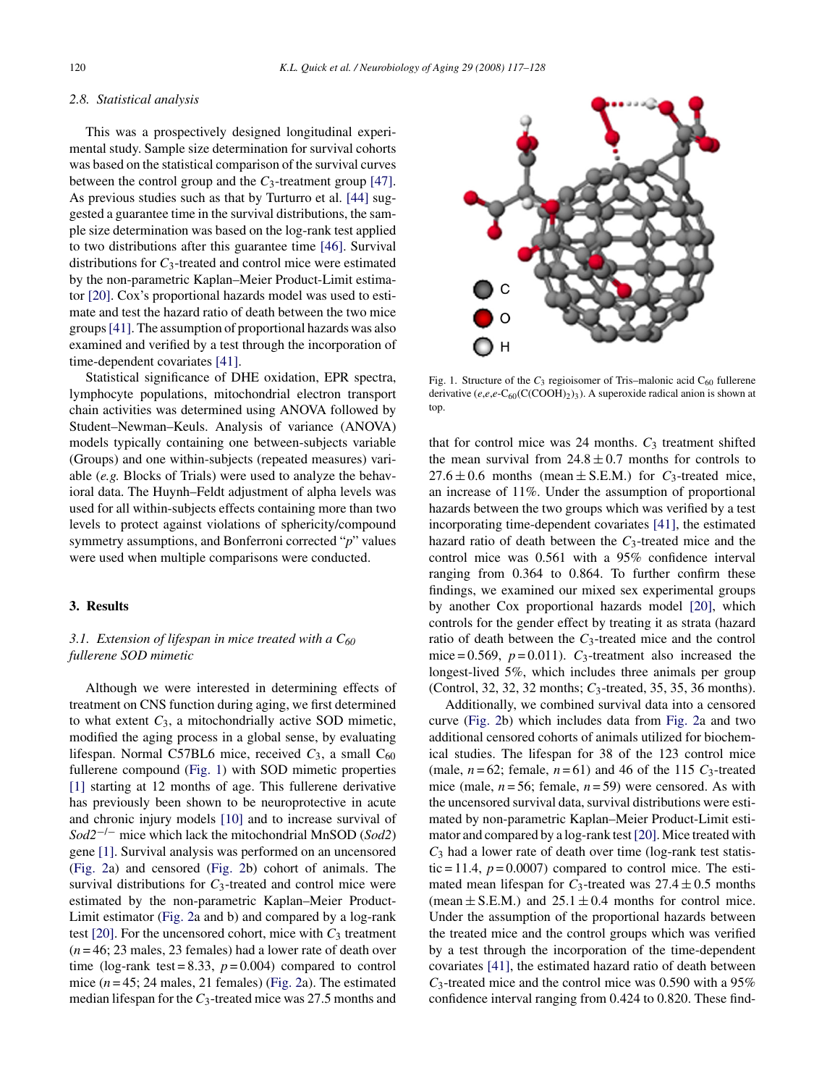#### *2.8. Statistical analysis*

This was a prospectively designed longitudinal experimental study. Sample size determination for survival cohorts was based on the statistical comparison of the survival curves between the control group and the *C*3-treatment group [\[47\].](#page-11-0) As previous studies such as that by Turturro et al. [\[44\]](#page-10-0) suggested a guarantee time in the survival distributions, the sample size determination was based on the log-rank test applied to two distributions after this guarantee time [\[46\].](#page-11-0) Survival distributions for *C*3-treated and control mice were estimated by the non-parametric Kaplan–Meier Product-Limit estimator [\[20\]. C](#page-10-0)ox's proportional hazards model was used to estimate and test the hazard ratio of death between the two mice groups[\[41\]. T](#page-10-0)he assumption of proportional hazards was also examined and verified by a test through the incorporation of time-dependent covariates [\[41\].](#page-10-0)

Statistical significance of DHE oxidation, EPR spectra, lymphocyte populations, mitochondrial electron transport chain activities was determined using ANOVA followed by Student–Newman–Keuls. Analysis of variance (ANOVA) models typically containing one between-subjects variable (Groups) and one within-subjects (repeated measures) variable (*e.g.* Blocks of Trials) were used to analyze the behavioral data. The Huynh–Feldt adjustment of alpha levels was used for all within-subjects effects containing more than two levels to protect against violations of sphericity/compound symmetry assumptions, and Bonferroni corrected "*p*" values were used when multiple comparisons were conducted.

# **3. Results**

# *3.1. Extension of lifespan in mice treated with a C60 fullerene SOD mimetic*

Although we were interested in determining effects of treatment on CNS function during aging, we first determined to what extent  $C_3$ , a mitochondrially active SOD mimetic, modified the aging process in a global sense, by evaluating lifespan. Normal C57BL6 mice, received  $C_3$ , a small  $C_{60}$ fullerene compound (Fig. 1) with SOD mimetic properties [\[1\]](#page-10-0) starting at 12 months of age. This fullerene derivative has previously been shown to be neuroprotective in acute and chronic injury models [\[10\]](#page-10-0) and to increase survival of *Sod2*−/<sup>−</sup> mice which lack the mitochondrial MnSOD (*Sod2*) gene [\[1\]. S](#page-10-0)urvival analysis was performed on an uncensored [\(Fig. 2a](#page-4-0)) and censored ([Fig. 2b](#page-4-0)) cohort of animals. The survival distributions for  $C_3$ -treated and control mice were estimated by the non-parametric Kaplan–Meier Product-Limit estimator ([Fig. 2a](#page-4-0) and b) and compared by a log-rank test  $[20]$ . For the uncensored cohort, mice with  $C_3$  treatment (*n* = 46; 23 males, 23 females) had a lower rate of death over time (log-rank test =  $8.33$ ,  $p = 0.004$ ) compared to control mice  $(n=45; 24 \text{ males}, 21 \text{ females})$  ([Fig. 2a\)](#page-4-0). The estimated median lifespan for the *C*3-treated mice was 27.5 months and



Fig. 1. Structure of the  $C_3$  regioisomer of Tris–malonic acid  $C_{60}$  fullerene derivative  $(e, e, e\text{-}C_{60}(C(COOH)_2)_{3})$ . A superoxide radical anion is shown at top.

that for control mice was 24 months.  $C_3$  treatment shifted the mean survival from  $24.8 \pm 0.7$  months for controls to  $27.6 \pm 0.6$  months (mean  $\pm$  S.E.M.) for *C*<sub>3</sub>-treated mice, an increase of 11%. Under the assumption of proportional hazards between the two groups which was verified by a test incorporating time-dependent covariates [\[41\],](#page-10-0) the estimated hazard ratio of death between the *C*3-treated mice and the control mice was 0.561 with a 95% confidence interval ranging from 0.364 to 0.864. To further confirm these findings, we examined our mixed sex experimental groups by another Cox proportional hazards model [\[20\],](#page-10-0) which controls for the gender effect by treating it as strata (hazard ratio of death between the *C*3-treated mice and the control mice =  $0.569$ ,  $p = 0.011$ ).  $C_3$ -treatment also increased the longest-lived 5%, which includes three animals per group (Control, 32, 32, 32 months; *C*3-treated, 35, 35, 36 months).

Additionally, we combined survival data into a censored curve ([Fig. 2b](#page-4-0)) which includes data from [Fig. 2a](#page-4-0) and two additional censored cohorts of animals utilized for biochemical studies. The lifespan for 38 of the 123 control mice (male,  $n = 62$ ; female,  $n = 61$ ) and 46 of the 115  $C_3$ -treated mice (male, *n* = 56; female, *n* = 59) were censored. As with the uncensored survival data, survival distributions were estimated by non-parametric Kaplan–Meier Product-Limit estimator and compared by a log-rank test[\[20\]. M](#page-10-0)ice treated with  $C_3$  had a lower rate of death over time (log-rank test statistic = 11.4,  $p = 0.0007$ ) compared to control mice. The estimated mean lifespan for  $C_3$ -treated was  $27.4 \pm 0.5$  months (mean  $\pm$  S.E.M.) and 25.1  $\pm$  0.4 months for control mice. Under the assumption of the proportional hazards between the treated mice and the control groups which was verified by a test through the incorporation of the time-dependent covariates [\[41\],](#page-10-0) the estimated hazard ratio of death between *C*3-treated mice and the control mice was 0.590 with a 95% confidence interval ranging from 0.424 to 0.820. These find-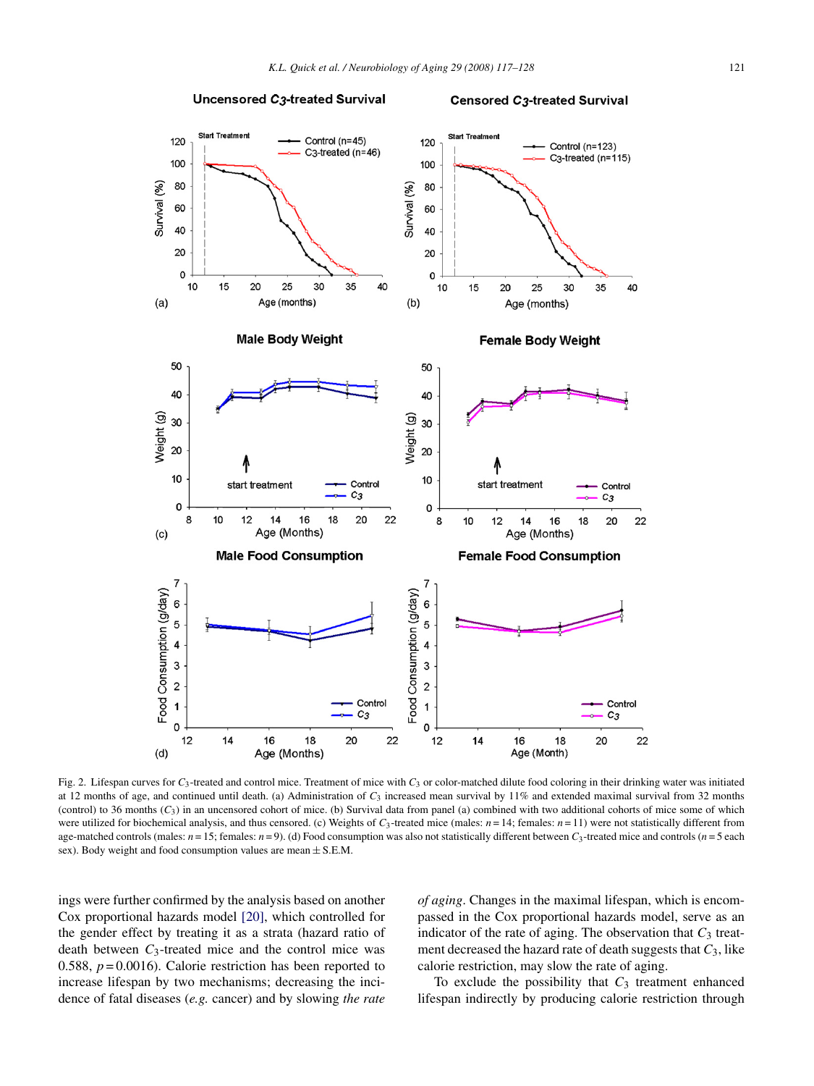<span id="page-4-0"></span>

Fig. 2. Lifespan curves for *C*3-treated and control mice. Treatment of mice with *C*<sup>3</sup> or color-matched dilute food coloring in their drinking water was initiated at 12 months of age, and continued until death. (a) Administration of *C*<sup>3</sup> increased mean survival by 11% and extended maximal survival from 32 months (control) to 36 months (*C*3) in an uncensored cohort of mice. (b) Survival data from panel (a) combined with two additional cohorts of mice some of which were utilized for biochemical analysis, and thus censored. (c) Weights of  $C_3$ -treated mice (males:  $n = 14$ ; females:  $n = 11$ ) were not statistically different from age-matched controls (males:  $n = 15$ ; females:  $n = 9$ ). (d) Food consumption was also not statistically different between  $C_3$ -treated mice and controls ( $n = 5$  each sex). Body weight and food consumption values are mean  $\pm$  S.E.M.

ings were further confirmed by the analysis based on another Cox proportional hazards model [\[20\],](#page-10-0) which controlled for the gender effect by treating it as a strata (hazard ratio of death between  $C_3$ -treated mice and the control mice was 0.588, *p* = 0.0016). Calorie restriction has been reported to increase lifespan by two mechanisms; decreasing the incidence of fatal diseases (*e.g.* cancer) and by slowing *the rate* *of aging*. Changes in the maximal lifespan, which is encompassed in the Cox proportional hazards model, serve as an indicator of the rate of aging. The observation that  $C_3$  treatment decreased the hazard rate of death suggests that  $C_3$ , like calorie restriction, may slow the rate of aging.

To exclude the possibility that *C*<sup>3</sup> treatment enhanced lifespan indirectly by producing calorie restriction through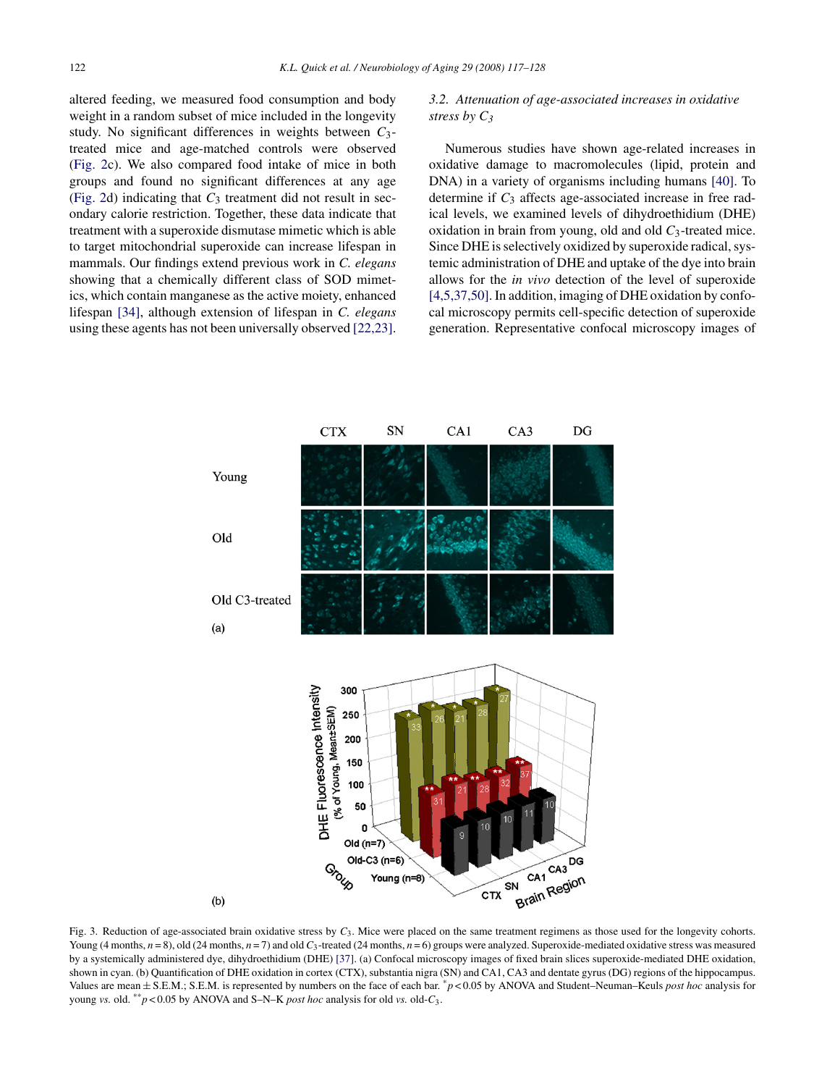<span id="page-5-0"></span>altered feeding, we measured food consumption and body weight in a random subset of mice included in the longevity study. No significant differences in weights between *C*3 treated mice and age-matched controls were observed [\(Fig. 2c](#page-4-0)). We also compared food intake of mice in both groups and found no significant differences at any age [\(Fig. 2d](#page-4-0)) indicating that  $C_3$  treatment did not result in secondary calorie restriction. Together, these data indicate that treatment with a superoxide dismutase mimetic which is able to target mitochondrial superoxide can increase lifespan in mammals. Our findings extend previous work in *C. elegans* showing that a chemically different class of SOD mimetics, which contain manganese as the active moiety, enhanced lifespan [\[34\],](#page-10-0) although extension of lifespan in *C. elegans* using these agents has not been universally observed [\[22,23\].](#page-10-0)

# *3.2. Attenuation of age-associated increases in oxidative stress by C3*

Numerous studies have shown age-related increases in oxidative damage to macromolecules (lipid, protein and DNA) in a variety of organisms including humans [\[40\].](#page-10-0) To determine if *C*<sup>3</sup> affects age-associated increase in free radical levels, we examined levels of dihydroethidium (DHE) oxidation in brain from young, old and old *C*3-treated mice. Since DHE is selectively oxidized by superoxide radical, systemic administration of DHE and uptake of the dye into brain allows for the *in vivo* detection of the level of superoxide [\[4,5,37,50\]. I](#page-10-0)n addition, imaging of DHE oxidation by confocal microscopy permits cell-specific detection of superoxide generation. Representative confocal microscopy images of



Fig. 3. Reduction of age-associated brain oxidative stress by  $C_3$ . Mice were placed on the same treatment regimens as those used for the longevity cohorts. Young (4 months,  $n = 8$ ), old (24 months,  $n = 7$ ) and old  $C_3$ -treated (24 months,  $n = 6$ ) groups were analyzed. Superoxide-mediated oxidative stress was measured by a systemically administered dye, dihydroethidium (DHE) [\[37\]. \(](#page-10-0)a) Confocal microscopy images of fixed brain slices superoxide-mediated DHE oxidation, shown in cyan. (b) Quantification of DHE oxidation in cortex (CTX), substantia nigra (SN) and CA1, CA3 and dentate gyrus (DG) regions of the hippocampus. Values are mean <sup>±</sup> S.E.M.; S.E.M. is represented by numbers on the face of each bar. \**<sup>p</sup>* < 0.05 by ANOVA and Student–Neuman–Keuls *post hoc* analysis for young *vs.* old. \*\**p* < 0.05 by ANOVA and S–N–K *post hoc* analysis for old *vs.* old-*C*3.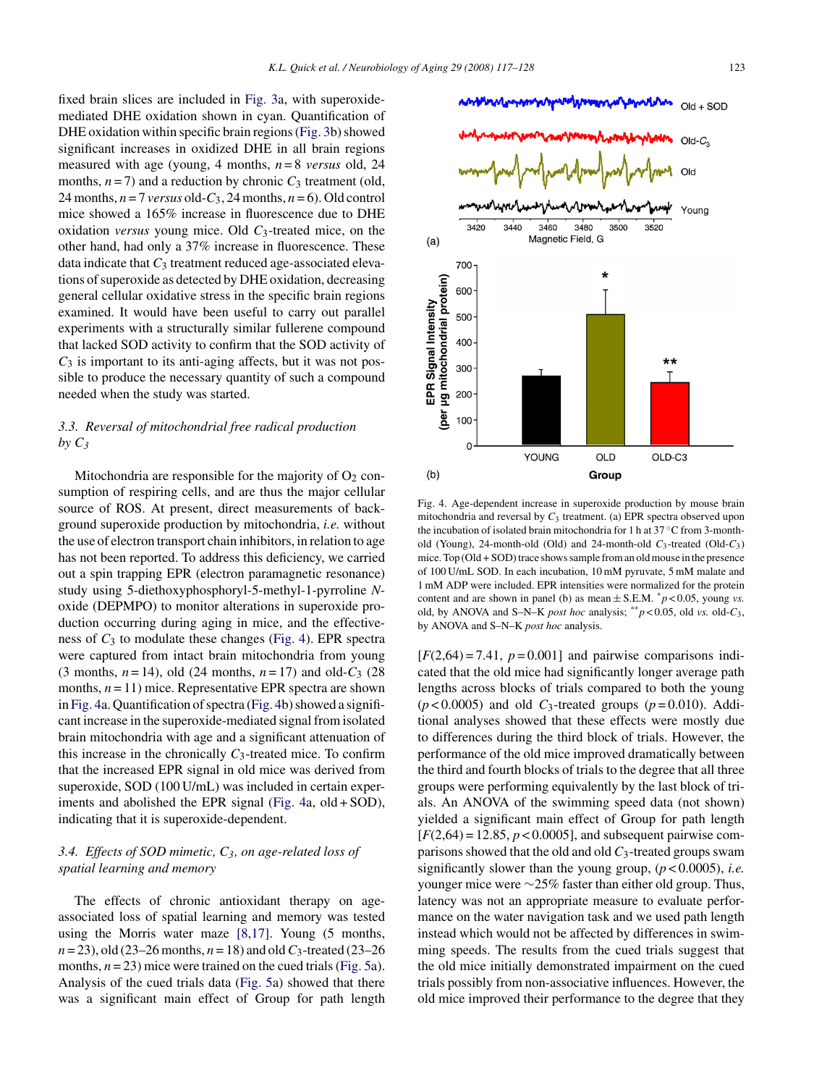fixed brain slices are included in [Fig. 3a,](#page-5-0) with superoxidemediated DHE oxidation shown in cyan. Quantification of DHE oxidation within specific brain regions [\(Fig. 3b\)](#page-5-0) showed significant increases in oxidized DHE in all brain regions measured with age (young, 4 months, *n* = 8 *versus* old, 24 months,  $n = 7$ ) and a reduction by chronic  $C_3$  treatment (old, 24 months,  $n = 7$  *versus* old- $C_3$ , 24 months,  $n = 6$ ). Old control mice showed a 165% increase in fluorescence due to DHE oxidation *versus* young mice. Old *C*3-treated mice, on the other hand, had only a 37% increase in fluorescence. These data indicate that  $C_3$  treatment reduced age-associated elevations of superoxide as detected by DHE oxidation, decreasing general cellular oxidative stress in the specific brain regions examined. It would have been useful to carry out parallel

experiments with a structurally similar fullerene compound that lacked SOD activity to confirm that the SOD activity of *C*<sup>3</sup> is important to its anti-aging affects, but it was not possible to produce the necessary quantity of such a compound needed when the study was started.

# *3.3. Reversal of mitochondrial free radical production by C3*

Mitochondria are responsible for the majority of  $O_2$  consumption of respiring cells, and are thus the major cellular source of ROS. At present, direct measurements of background superoxide production by mitochondria, *i.e.* without the use of electron transport chain inhibitors, in relation to age has not been reported. To address this deficiency, we carried out a spin trapping EPR (electron paramagnetic resonance) study using 5-diethoxyphosphoryl-5-methyl-1-pyrroline *N*oxide (DEPMPO) to monitor alterations in superoxide production occurring during aging in mice, and the effectiveness of  $C_3$  to modulate these changes (Fig. 4). EPR spectra were captured from intact brain mitochondria from young (3 months,  $n = 14$ ), old (24 months,  $n = 17$ ) and old- $C_3$  (28 months,  $n = 11$ ) mice. Representative EPR spectra are shown in Fig. 4a. Quantification of spectra (Fig. 4b) showed a significant increase in the superoxide-mediated signal from isolated brain mitochondria with age and a significant attenuation of this increase in the chronically *C*3-treated mice. To confirm that the increased EPR signal in old mice was derived from superoxide, SOD (100 U/mL) was included in certain experiments and abolished the EPR signal (Fig. 4a, old + SOD), indicating that it is superoxide-dependent.

# *3.4. Effects of SOD mimetic, C3, on age-related loss of spatial learning and memory*

The effects of chronic antioxidant therapy on ageassociated loss of spatial learning and memory was tested using the Morris water maze [\[8,17\].](#page-10-0) Young (5 months,  $n = 23$ ), old (23–26 months,  $n = 18$ ) and old  $C_3$ -treated (23–26 months,  $n = 23$ ) mice were trained on the cued trials ([Fig. 5a\)](#page-7-0). Analysis of the cued trials data ([Fig. 5a\)](#page-7-0) showed that there was a significant main effect of Group for path length Fig. 4. Age-dependent increase in superoxide production by mouse brain mitochondria and reversal by *C*<sup>3</sup> treatment. (a) EPR spectra observed upon the incubation of isolated brain mitochondria for 1 h at 37 ◦C from 3-monthold (Young), 24-month-old (Old) and 24-month-old *C*3-treated (Old-*C*3) mice. Top (Old + SOD) trace shows sample from an old mouse in the presence of 100 U/mL SOD. In each incubation, 10 mM pyruvate, 5 mM malate and 1 mM ADP were included. EPR intensities were normalized for the protein content and are shown in panel (b) as mean  $\pm$  S.E.M.  $\degree$  *p* < 0.05, young *vs*. old, by ANOVA and S–N–K *post hoc* analysis; \*\**p* < 0.05, old *vs.* old-*C*3, by ANOVA and S–N–K *post hoc* analysis.

 $[F(2,64) = 7.41, p = 0.001]$  and pairwise comparisons indicated that the old mice had significantly longer average path lengths across blocks of trials compared to both the young  $(p<0.0005)$  and old  $C_3$ -treated groups  $(p=0.010)$ . Additional analyses showed that these effects were mostly due to differences during the third block of trials. However, the performance of the old mice improved dramatically between the third and fourth blocks of trials to the degree that all three groups were performing equivalently by the last block of trials. An ANOVA of the swimming speed data (not shown) yielded a significant main effect of Group for path length  $[F(2,64) = 12.85, p < 0.0005]$ , and subsequent pairwise comparisons showed that the old and old *C*3-treated groups swam significantly slower than the young group, (*p* < 0.0005), *i.e.* younger mice were ∼25% faster than either old group. Thus, latency was not an appropriate measure to evaluate performance on the water navigation task and we used path length instead which would not be affected by differences in swimming speeds. The results from the cued trials suggest that the old mice initially demonstrated impairment on the cued trials possibly from non-associative influences. However, the old mice improved their performance to the degree that they



 $Old + SOD$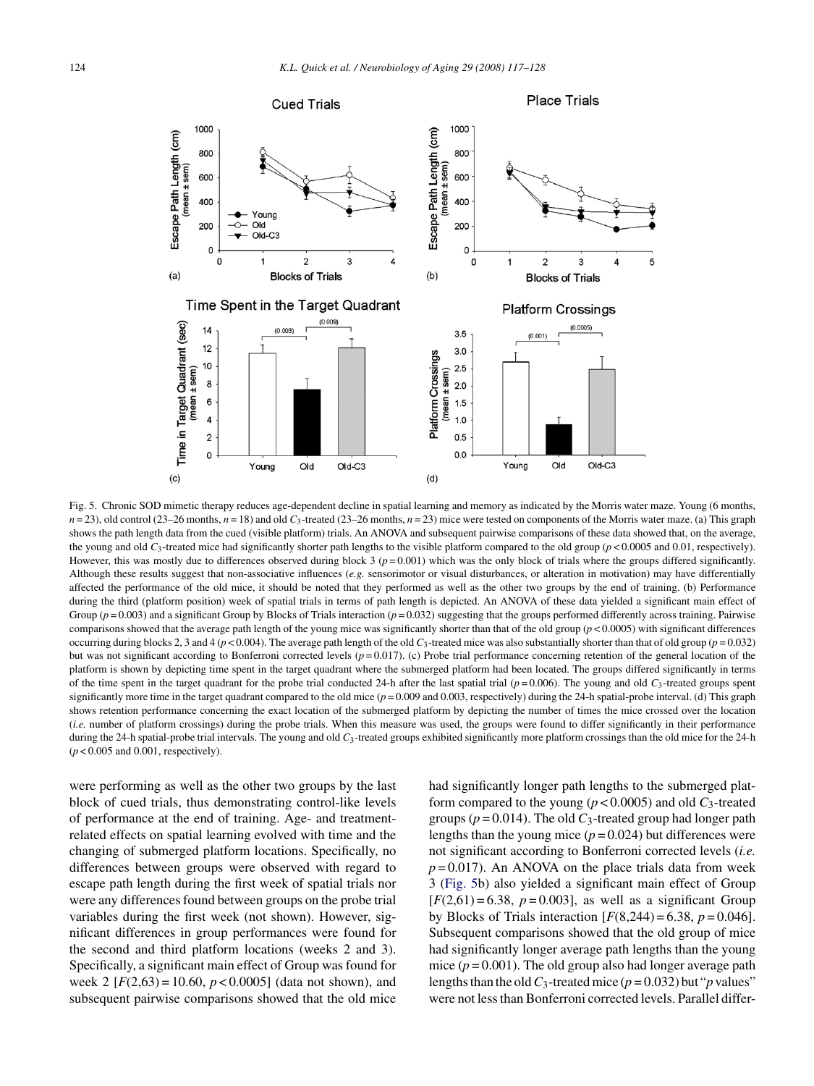<span id="page-7-0"></span>

Fig. 5. Chronic SOD mimetic therapy reduces age-dependent decline in spatial learning and memory as indicated by the Morris water maze. Young (6 months,  $n = 23$ ), old control (23–26 months,  $n = 18$ ) and old  $C_3$ -treated (23–26 months,  $n = 23$ ) mice were tested on components of the Morris water maze. (a) This graph shows the path length data from the cued (visible platform) trials. An ANOVA and subsequent pairwise comparisons of these data showed that, on the average, the young and old  $C_3$ -treated mice had significantly shorter path lengths to the visible platform compared to the old group ( $p$  < 0.0005 and 0.01, respectively). However, this was mostly due to differences observed during block  $3 (p = 0.001)$  which was the only block of trials where the groups differed significantly. Although these results suggest that non-associative influences (*e.g.* sensorimotor or visual disturbances, or alteration in motivation) may have differentially affected the performance of the old mice, it should be noted that they performed as well as the other two groups by the end of training. (b) Performance during the third (platform position) week of spatial trials in terms of path length is depicted. An ANOVA of these data yielded a significant main effect of Group  $(p=0.003)$  and a significant Group by Blocks of Trials interaction  $(p=0.032)$  suggesting that the groups performed differently across training. Pairwise comparisons showed that the average path length of the young mice was significantly shorter than that of the old group  $(p < 0.0005)$  with significant differences occurring during blocks 2, 3 and 4 ( $p$  < 0.004). The average path length of the old  $C_3$ -treated mice was also substantially shorter than that of old group ( $p = 0.032$ ) but was not significant according to Bonferroni corrected levels ( $p=0.017$ ). (c) Probe trial performance concerning retention of the general location of the platform is shown by depicting time spent in the target quadrant where the submerged platform had been located. The groups differed significantly in terms of the time spent in the target quadrant for the probe trial conducted 24-h after the last spatial trial  $(p=0.006)$ . The young and old  $C_3$ -treated groups spent significantly more time in the target quadrant compared to the old mice  $(p = 0.009$  and 0.003, respectively) during the 24-h spatial-probe interval. (d) This graph shows retention performance concerning the exact location of the submerged platform by depicting the number of times the mice crossed over the location (*i.e.* number of platform crossings) during the probe trials. When this measure was used, the groups were found to differ significantly in their performance during the 24-h spatial-probe trial intervals. The young and old  $C_3$ -treated groups exhibited significantly more platform crossings than the old mice for the 24-h (*p* < 0.005 and 0.001, respectively).

were performing as well as the other two groups by the last block of cued trials, thus demonstrating control-like levels of performance at the end of training. Age- and treatmentrelated effects on spatial learning evolved with time and the changing of submerged platform locations. Specifically, no differences between groups were observed with regard to escape path length during the first week of spatial trials nor were any differences found between groups on the probe trial variables during the first week (not shown). However, significant differences in group performances were found for the second and third platform locations (weeks 2 and 3). Specifically, a significant main effect of Group was found for week 2  $[F(2,63) = 10.60, p < 0.0005]$  (data not shown), and subsequent pairwise comparisons showed that the old mice

had significantly longer path lengths to the submerged platform compared to the young ( $p < 0.0005$ ) and old  $C_3$ -treated groups ( $p = 0.014$ ). The old  $C_3$ -treated group had longer path lengths than the young mice  $(p = 0.024)$  but differences were not significant according to Bonferroni corrected levels (*i.e.*  $p = 0.017$ ). An ANOVA on the place trials data from week 3 (Fig. 5b) also yielded a significant main effect of Group  $[F(2,61) = 6.38, p = 0.003]$ , as well as a significant Group by Blocks of Trials interaction  $[F(8,244) = 6.38, p = 0.046]$ . Subsequent comparisons showed that the old group of mice had significantly longer average path lengths than the young mice  $(p = 0.001)$ . The old group also had longer average path lengths than the old  $C_3$ -treated mice ( $p = 0.032$ ) but "*p* values" were not less than Bonferroni corrected levels. Parallel differ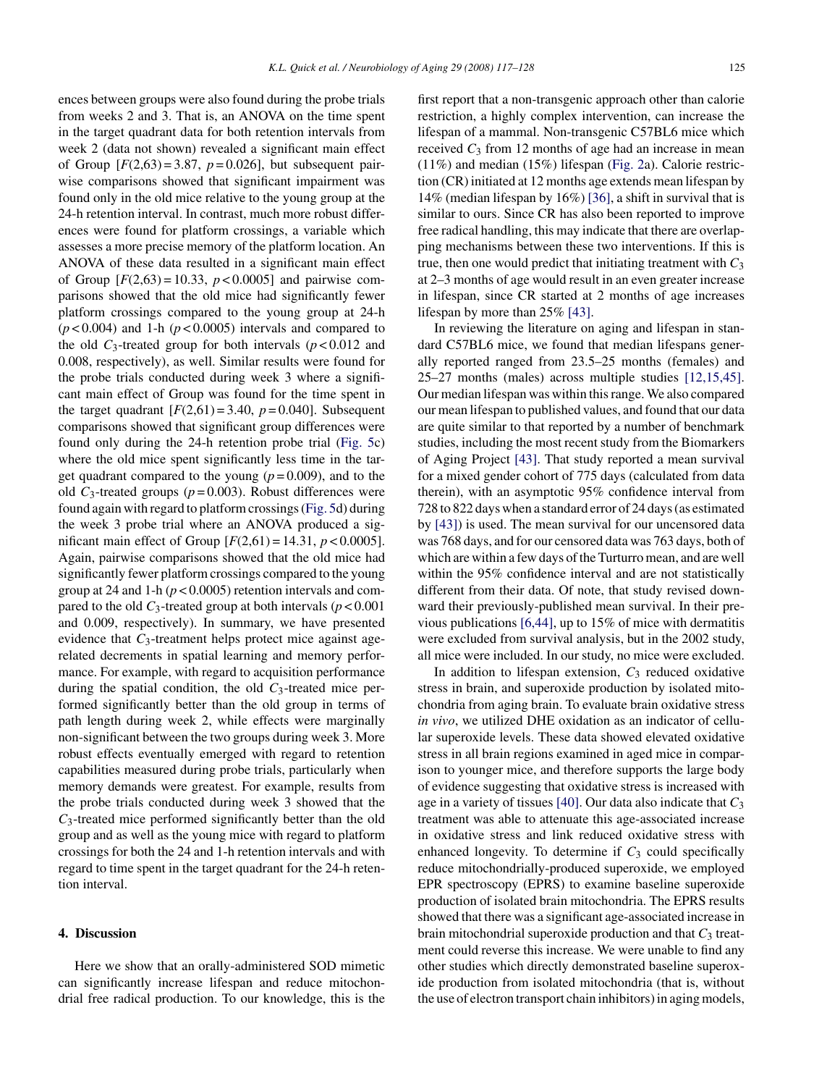ences between groups were also found during the probe trials from weeks 2 and 3. That is, an ANOVA on the time spent in the target quadrant data for both retention intervals from week 2 (data not shown) revealed a significant main effect of Group  $[F(2,63) = 3.87, p = 0.026]$ , but subsequent pairwise comparisons showed that significant impairment was found only in the old mice relative to the young group at the 24-h retention interval. In contrast, much more robust differences were found for platform crossings, a variable which assesses a more precise memory of the platform location. An ANOVA of these data resulted in a significant main effect of Group  $[F(2,63) = 10.33, p < 0.0005]$  and pairwise comparisons showed that the old mice had significantly fewer platform crossings compared to the young group at 24-h  $(p<0.004)$  and 1-h  $(p<0.0005)$  intervals and compared to the old  $C_3$ -treated group for both intervals ( $p < 0.012$  and 0.008, respectively), as well. Similar results were found for the probe trials conducted during week 3 where a significant main effect of Group was found for the time spent in the target quadrant  $[F(2,61) = 3.40, p = 0.040]$ . Subsequent comparisons showed that significant group differences were found only during the 24-h retention probe trial [\(Fig. 5c](#page-7-0)) where the old mice spent significantly less time in the target quadrant compared to the young  $(p=0.009)$ , and to the old  $C_3$ -treated groups ( $p = 0.003$ ). Robust differences were found again with regard to platform crossings ([Fig. 5d\)](#page-7-0) during the week 3 probe trial where an ANOVA produced a significant main effect of Group  $[F(2,61) = 14.31, p < 0.0005]$ . Again, pairwise comparisons showed that the old mice had significantly fewer platform crossings compared to the young group at 24 and 1-h (*p* < 0.0005) retention intervals and compared to the old  $C_3$ -treated group at both intervals ( $p < 0.001$ ) and 0.009, respectively). In summary, we have presented evidence that *C*<sub>3</sub>-treatment helps protect mice against agerelated decrements in spatial learning and memory performance. For example, with regard to acquisition performance during the spatial condition, the old *C*3-treated mice performed significantly better than the old group in terms of path length during week 2, while effects were marginally non-significant between the two groups during week 3. More robust effects eventually emerged with regard to retention capabilities measured during probe trials, particularly when memory demands were greatest. For example, results from the probe trials conducted during week 3 showed that the *C*3-treated mice performed significantly better than the old group and as well as the young mice with regard to platform crossings for both the 24 and 1-h retention intervals and with regard to time spent in the target quadrant for the 24-h retention interval.

# **4. Discussion**

Here we show that an orally-administered SOD mimetic can significantly increase lifespan and reduce mitochondrial free radical production. To our knowledge, this is the first report that a non-transgenic approach other than calorie restriction, a highly complex intervention, can increase the lifespan of a mammal. Non-transgenic C57BL6 mice which received  $C_3$  from 12 months of age had an increase in mean (11%) and median (15%) lifespan ([Fig. 2a\)](#page-4-0). Calorie restriction (CR) initiated at 12 months age extends mean lifespan by 14% (median lifespan by 16%) [\[36\], a](#page-10-0) shift in survival that is similar to ours. Since CR has also been reported to improve free radical handling, this may indicate that there are overlapping mechanisms between these two interventions. If this is true, then one would predict that initiating treatment with  $C_3$ at 2–3 months of age would result in an even greater increase in lifespan, since CR started at 2 months of age increases lifespan by more than 25% [\[43\].](#page-10-0)

In reviewing the literature on aging and lifespan in standard C57BL6 mice, we found that median lifespans generally reported ranged from 23.5–25 months (females) and 25–27 months (males) across multiple studies [\[12,15,45\].](#page-10-0) Our median lifespan was within this range. We also compared our mean lifespan to published values, and found that our data are quite similar to that reported by a number of benchmark studies, including the most recent study from the Biomarkers of Aging Project [\[43\].](#page-10-0) That study reported a mean survival for a mixed gender cohort of 775 days (calculated from data therein), with an asymptotic 95% confidence interval from 728 to 822 days when a standard error of 24 days (as estimated by [\[43\]\)](#page-10-0) is used. The mean survival for our uncensored data was 768 days, and for our censored data was 763 days, both of which are within a few days of the Turturro mean, and are well within the 95% confidence interval and are not statistically different from their data. Of note, that study revised downward their previously-published mean survival. In their previous publications [\[6,44\], u](#page-10-0)p to 15% of mice with dermatitis were excluded from survival analysis, but in the 2002 study, all mice were included. In our study, no mice were excluded.

In addition to lifespan extension,  $C_3$  reduced oxidative stress in brain, and superoxide production by isolated mitochondria from aging brain. To evaluate brain oxidative stress *in vivo*, we utilized DHE oxidation as an indicator of cellular superoxide levels. These data showed elevated oxidative stress in all brain regions examined in aged mice in comparison to younger mice, and therefore supports the large body of evidence suggesting that oxidative stress is increased with age in a variety of tissues [\[40\]. O](#page-10-0)ur data also indicate that *C*<sup>3</sup> treatment was able to attenuate this age-associated increase in oxidative stress and link reduced oxidative stress with enhanced longevity. To determine if  $C_3$  could specifically reduce mitochondrially-produced superoxide, we employed EPR spectroscopy (EPRS) to examine baseline superoxide production of isolated brain mitochondria. The EPRS results showed that there was a significant age-associated increase in brain mitochondrial superoxide production and that  $C_3$  treatment could reverse this increase. We were unable to find any other studies which directly demonstrated baseline superoxide production from isolated mitochondria (that is, without the use of electron transport chain inhibitors) in aging models,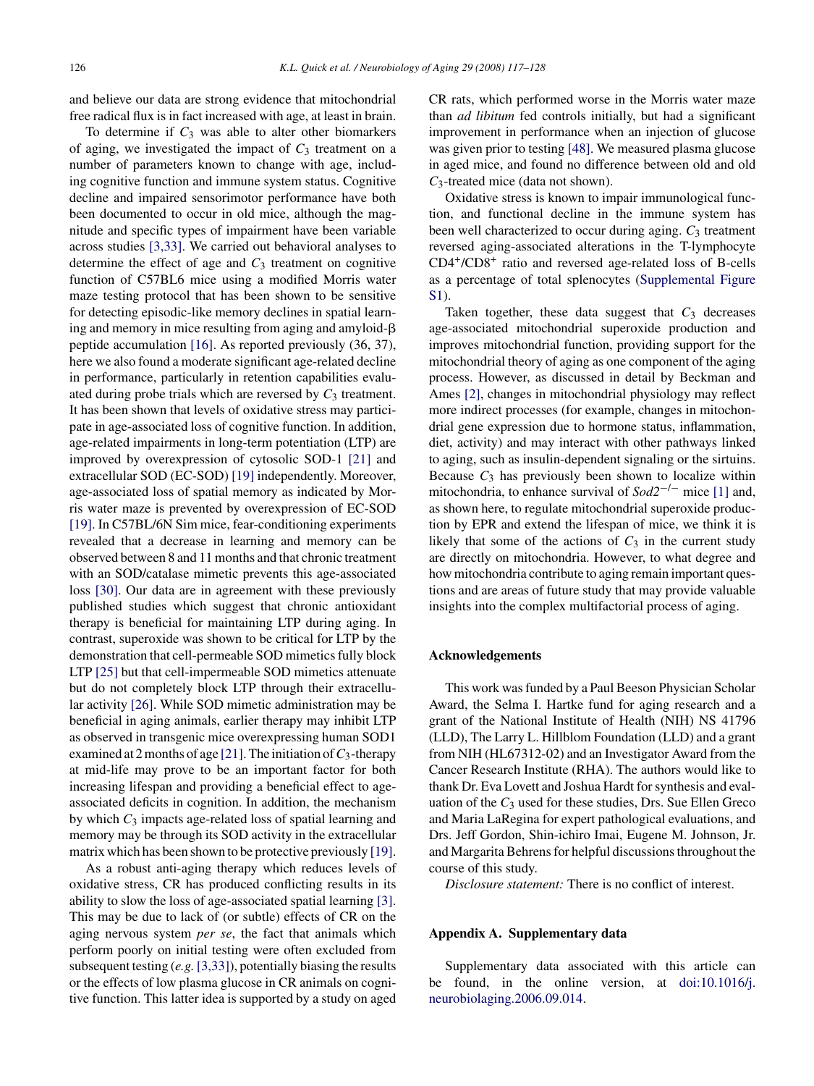and believe our data are strong evidence that mitochondrial free radical flux is in fact increased with age, at least in brain.

To determine if  $C_3$  was able to alter other biomarkers of aging, we investigated the impact of  $C_3$  treatment on a number of parameters known to change with age, including cognitive function and immune system status. Cognitive decline and impaired sensorimotor performance have both been documented to occur in old mice, although the magnitude and specific types of impairment have been variable across studies [\[3,33\].](#page-10-0) We carried out behavioral analyses to determine the effect of age and  $C_3$  treatment on cognitive function of C57BL6 mice using a modified Morris water maze testing protocol that has been shown to be sensitive for detecting episodic-like memory declines in spatial learning and memory in mice resulting from aging and amyloid peptide accumulation [\[16\].](#page-10-0) As reported previously (36, 37), here we also found a moderate significant age-related decline in performance, particularly in retention capabilities evaluated during probe trials which are reversed by  $C_3$  treatment. It has been shown that levels of oxidative stress may participate in age-associated loss of cognitive function. In addition, age-related impairments in long-term potentiation (LTP) are improved by overexpression of cytosolic SOD-1 [\[21\]](#page-10-0) and extracellular SOD (EC-SOD) [\[19\]](#page-10-0) independently. Moreover, age-associated loss of spatial memory as indicated by Morris water maze is prevented by overexpression of EC-SOD [\[19\]. I](#page-10-0)n C57BL/6N Sim mice, fear-conditioning experiments revealed that a decrease in learning and memory can be observed between 8 and 11 months and that chronic treatment with an SOD/catalase mimetic prevents this age-associated loss [\[30\].](#page-10-0) Our data are in agreement with these previously published studies which suggest that chronic antioxidant therapy is beneficial for maintaining LTP during aging. In contrast, superoxide was shown to be critical for LTP by the demonstration that cell-permeable SOD mimetics fully block LTP [\[25\]](#page-10-0) but that cell-impermeable SOD mimetics attenuate but do not completely block LTP through their extracellular activity [\[26\].](#page-10-0) While SOD mimetic administration may be beneficial in aging animals, earlier therapy may inhibit LTP as observed in transgenic mice overexpressing human SOD1 examined at 2 months of age [\[21\]. T](#page-10-0)he initiation of*C*3-therapy at mid-life may prove to be an important factor for both increasing lifespan and providing a beneficial effect to ageassociated deficits in cognition. In addition, the mechanism by which *C*<sup>3</sup> impacts age-related loss of spatial learning and memory may be through its SOD activity in the extracellular matrix which has been shown to be protective previously [\[19\].](#page-10-0)

As a robust anti-aging therapy which reduces levels of oxidative stress, CR has produced conflicting results in its ability to slow the loss of age-associated spatial learning [\[3\].](#page-10-0) This may be due to lack of (or subtle) effects of CR on the aging nervous system *per se*, the fact that animals which perform poorly on initial testing were often excluded from subsequent testing (*e.g.*[\[3,33\]\),](#page-10-0) potentially biasing the results or the effects of low plasma glucose in CR animals on cognitive function. This latter idea is supported by a study on aged CR rats, which performed worse in the Morris water maze than *ad libitum* fed controls initially, but had a significant improvement in performance when an injection of glucose was given prior to testing [\[48\]. W](#page-11-0)e measured plasma glucose in aged mice, and found no difference between old and old *C*3-treated mice (data not shown).

Oxidative stress is known to impair immunological function, and functional decline in the immune system has been well characterized to occur during aging.  $C_3$  treatment reversed aging-associated alterations in the T-lymphocyte CD4+/CD8+ ratio and reversed age-related loss of B-cells as a percentage of total splenocytes (Supplemental Figure S1).

Taken together, these data suggest that  $C_3$  decreases age-associated mitochondrial superoxide production and improves mitochondrial function, providing support for the mitochondrial theory of aging as one component of the aging process. However, as discussed in detail by Beckman and Ames [\[2\],](#page-10-0) changes in mitochondrial physiology may reflect more indirect processes (for example, changes in mitochondrial gene expression due to hormone status, inflammation, diet, activity) and may interact with other pathways linked to aging, such as insulin-dependent signaling or the sirtuins. Because  $C_3$  has previously been shown to localize within mitochondria, to enhance survival of *Sod2*−/<sup>−</sup> mice [\[1\]](#page-10-0) and, as shown here, to regulate mitochondrial superoxide production by EPR and extend the lifespan of mice, we think it is likely that some of the actions of  $C_3$  in the current study are directly on mitochondria. However, to what degree and how mitochondria contribute to aging remain important questions and are areas of future study that may provide valuable insights into the complex multifactorial process of aging.

#### **Acknowledgements**

This work was funded by a Paul Beeson Physician Scholar Award, the Selma I. Hartke fund for aging research and a grant of the National Institute of Health (NIH) NS 41796 (LLD), The Larry L. Hillblom Foundation (LLD) and a grant from NIH (HL67312-02) and an Investigator Award from the Cancer Research Institute (RHA). The authors would like to thank Dr. Eva Lovett and Joshua Hardt for synthesis and evaluation of the  $C_3$  used for these studies, Drs. Sue Ellen Greco and Maria LaRegina for expert pathological evaluations, and Drs. Jeff Gordon, Shin-ichiro Imai, Eugene M. Johnson, Jr. and Margarita Behrens for helpful discussions throughout the course of this study.

*Disclosure statement:* There is no conflict of interest.

## **Appendix A. Supplementary data**

Supplementary data associated with this article can be found, in the online version, at [doi:10.1016/j.](http://dx.doi.org/10.1016/j.neurobiolaging.2006.09.014) [neurobiolaging.2006.09.014](http://dx.doi.org/10.1016/j.neurobiolaging.2006.09.014).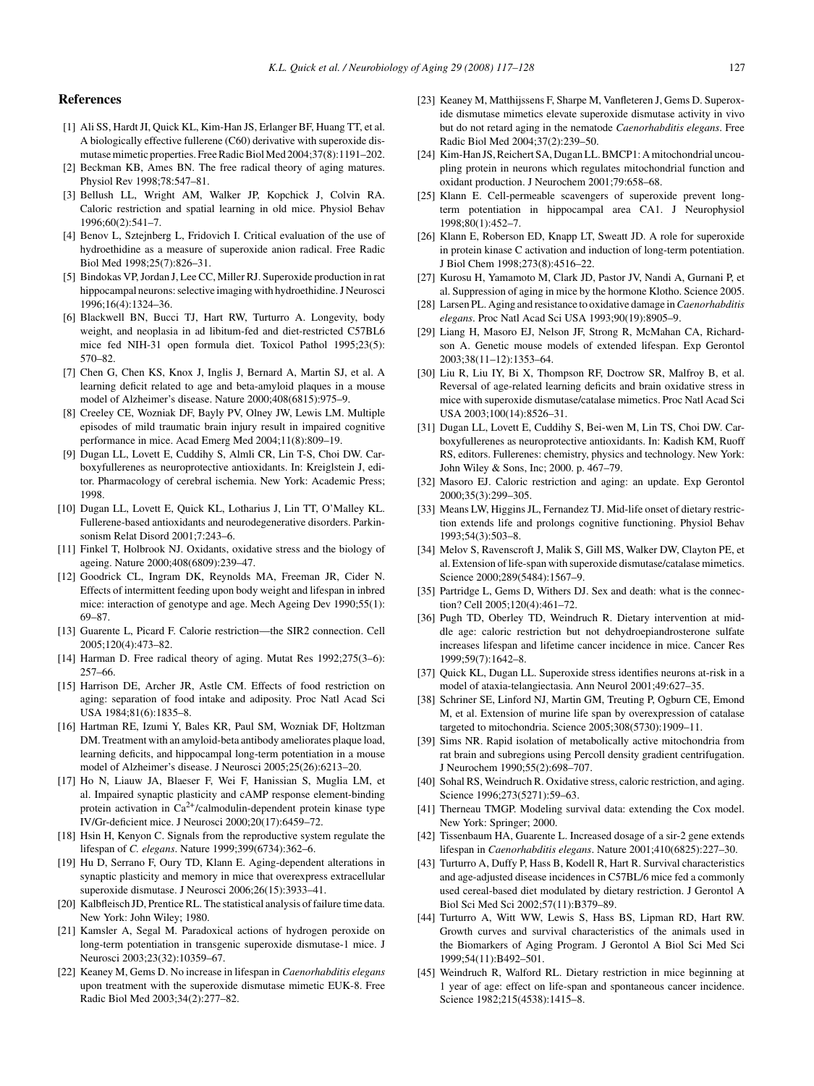## <span id="page-10-0"></span>**References**

- [1] Ali SS, Hardt JI, Quick KL, Kim-Han JS, Erlanger BF, Huang TT, et al. A biologically effective fullerene (C60) derivative with superoxide dismutase mimetic properties. Free Radic Biol Med 2004;37(8):1191–202.
- [2] Beckman KB, Ames BN. The free radical theory of aging matures. Physiol Rev 1998;78:547–81.
- [3] Bellush LL, Wright AM, Walker JP, Kopchick J, Colvin RA. Caloric restriction and spatial learning in old mice. Physiol Behav  $1996:60(2)$ : 541-7.
- [4] Benov L, Sztejnberg L, Fridovich I. Critical evaluation of the use of hydroethidine as a measure of superoxide anion radical. Free Radic Biol Med 1998;25(7):826–31.
- [5] Bindokas VP, Jordan J, Lee CC, Miller RJ. Superoxide production in rat hippocampal neurons: selective imaging with hydroethidine. J Neurosci 1996;16(4):1324–36.
- [6] Blackwell BN, Bucci TJ, Hart RW, Turturro A. Longevity, body weight, and neoplasia in ad libitum-fed and diet-restricted C57BL6 mice fed NIH-31 open formula diet. Toxicol Pathol 1995;23(5): 570–82.
- [7] Chen G, Chen KS, Knox J, Inglis J, Bernard A, Martin SJ, et al. A learning deficit related to age and beta-amyloid plaques in a mouse model of Alzheimer's disease. Nature 2000;408(6815):975–9.
- [8] Creeley CE, Wozniak DF, Bayly PV, Olney JW, Lewis LM. Multiple episodes of mild traumatic brain injury result in impaired cognitive performance in mice. Acad Emerg Med 2004;11(8):809–19.
- [9] Dugan LL, Lovett E, Cuddihy S, Almli CR, Lin T-S, Choi DW. Carboxyfullerenes as neuroprotective antioxidants. In: Kreiglstein J, editor. Pharmacology of cerebral ischemia. New York: Academic Press; 1998.
- [10] Dugan LL, Lovett E, Quick KL, Lotharius J, Lin TT, O'Malley KL. Fullerene-based antioxidants and neurodegenerative disorders. Parkinsonism Relat Disord 2001;7:243–6.
- [11] Finkel T, Holbrook NJ. Oxidants, oxidative stress and the biology of ageing. Nature 2000;408(6809):239–47.
- [12] Goodrick CL, Ingram DK, Reynolds MA, Freeman JR, Cider N. Effects of intermittent feeding upon body weight and lifespan in inbred mice: interaction of genotype and age. Mech Ageing Dev 1990;55(1): 69–87.
- [13] Guarente L, Picard F. Calorie restriction—the SIR2 connection. Cell 2005;120(4):473–82.
- [14] Harman D. Free radical theory of aging. Mutat Res 1992;275(3–6): 257–66.
- [15] Harrison DE, Archer JR, Astle CM. Effects of food restriction on aging: separation of food intake and adiposity. Proc Natl Acad Sci USA 1984;81(6):1835–8.
- [16] Hartman RE, Izumi Y, Bales KR, Paul SM, Wozniak DF, Holtzman DM. Treatment with an amyloid-beta antibody ameliorates plaque load, learning deficits, and hippocampal long-term potentiation in a mouse model of Alzheimer's disease. J Neurosci 2005;25(26):6213–20.
- [17] Ho N, Liauw JA, Blaeser F, Wei F, Hanissian S, Muglia LM, et al. Impaired synaptic plasticity and cAMP response element-binding protein activation in Ca2+/calmodulin-dependent protein kinase type IV/Gr-deficient mice. J Neurosci 2000;20(17):6459–72.
- [18] Hsin H, Kenyon C. Signals from the reproductive system regulate the lifespan of *C. elegans*. Nature 1999;399(6734):362–6.
- [19] Hu D, Serrano F, Oury TD, Klann E. Aging-dependent alterations in synaptic plasticity and memory in mice that overexpress extracellular superoxide dismutase. J Neurosci 2006;26(15):3933–41.
- [20] Kalbfleisch JD, Prentice RL. The statistical analysis of failure time data. New York: John Wiley; 1980.
- [21] Kamsler A, Segal M. Paradoxical actions of hydrogen peroxide on long-term potentiation in transgenic superoxide dismutase-1 mice. J Neurosci 2003;23(32):10359–67.
- [22] Keaney M, Gems D. No increase in lifespan in *Caenorhabditis elegans* upon treatment with the superoxide dismutase mimetic EUK-8. Free Radic Biol Med 2003;34(2):277–82.
- [23] Keaney M, Matthijssens F, Sharpe M, Vanfleteren J, Gems D. Superoxide dismutase mimetics elevate superoxide dismutase activity in vivo but do not retard aging in the nematode *Caenorhabditis elegans*. Free Radic Biol Med 2004;37(2):239–50.
- [24] Kim-Han JS, Reichert SA, Dugan LL. BMCP1: A mitochondrial uncoupling protein in neurons which regulates mitochondrial function and oxidant production. J Neurochem 2001;79:658–68.
- [25] Klann E. Cell-permeable scavengers of superoxide prevent longterm potentiation in hippocampal area CA1. J Neurophysiol 1998;80(1):452–7.
- [26] Klann E, Roberson ED, Knapp LT, Sweatt JD. A role for superoxide in protein kinase C activation and induction of long-term potentiation. J Biol Chem 1998;273(8):4516–22.
- [27] Kurosu H, Yamamoto M, Clark JD, Pastor JV, Nandi A, Gurnani P, et al. Suppression of aging in mice by the hormone Klotho. Science 2005.
- [28] Larsen PL. Aging and resistance to oxidative damage in*Caenorhabditis elegans*. Proc Natl Acad Sci USA 1993;90(19):8905–9.
- [29] Liang H, Masoro EJ, Nelson JF, Strong R, McMahan CA, Richardson A. Genetic mouse models of extended lifespan. Exp Gerontol 2003;38(11–12):1353–64.
- [30] Liu R, Liu IY, Bi X, Thompson RF, Doctrow SR, Malfroy B, et al. Reversal of age-related learning deficits and brain oxidative stress in mice with superoxide dismutase/catalase mimetics. Proc Natl Acad Sci USA 2003;100(14):8526–31.
- [31] Dugan LL, Lovett E, Cuddihy S, Bei-wen M, Lin TS, Choi DW, Carboxyfullerenes as neuroprotective antioxidants. In: Kadish KM, Ruoff RS, editors. Fullerenes: chemistry, physics and technology. New York: John Wiley & Sons, Inc; 2000. p. 467–79.
- [32] Masoro EJ. Caloric restriction and aging: an update. Exp Gerontol 2000;35(3):299–305.
- [33] Means LW, Higgins JL, Fernandez TJ. Mid-life onset of dietary restriction extends life and prolongs cognitive functioning. Physiol Behav  $1993:54(3):503-8$ .
- [34] Melov S, Ravenscroft J, Malik S, Gill MS, Walker DW, Clayton PE, et al. Extension of life-span with superoxide dismutase/catalase mimetics. Science 2000;289(5484):1567–9.
- [35] Partridge L, Gems D, Withers DJ. Sex and death: what is the connection? Cell 2005;120(4):461–72.
- [36] Pugh TD, Oberley TD, Weindruch R. Dietary intervention at middle age: caloric restriction but not dehydroepiandrosterone sulfate increases lifespan and lifetime cancer incidence in mice. Cancer Res 1999;59(7):1642–8.
- [37] Quick KL, Dugan LL. Superoxide stress identifies neurons at-risk in a model of ataxia-telangiectasia. Ann Neurol 2001;49:627–35.
- [38] Schriner SE, Linford NJ, Martin GM, Treuting P, Ogburn CE, Emond M, et al. Extension of murine life span by overexpression of catalase targeted to mitochondria. Science 2005;308(5730):1909–11.
- [39] Sims NR. Rapid isolation of metabolically active mitochondria from rat brain and subregions using Percoll density gradient centrifugation. J Neurochem 1990;55(2):698–707.
- [40] Sohal RS, Weindruch R. Oxidative stress, caloric restriction, and aging. Science 1996;273(5271):59–63.
- [41] Therneau TMGP. Modeling survival data: extending the Cox model. New York: Springer; 2000.
- [42] Tissenbaum HA, Guarente L. Increased dosage of a sir-2 gene extends lifespan in *Caenorhabditis elegans*. Nature 2001;410(6825):227–30.
- [43] Turturro A, Duffy P, Hass B, Kodell R, Hart R. Survival characteristics and age-adjusted disease incidences in C57BL/6 mice fed a commonly used cereal-based diet modulated by dietary restriction. J Gerontol A Biol Sci Med Sci 2002;57(11):B379–89.
- [44] Turturro A, Witt WW, Lewis S, Hass BS, Lipman RD, Hart RW. Growth curves and survival characteristics of the animals used in the Biomarkers of Aging Program. J Gerontol A Biol Sci Med Sci 1999;54(11):B492–501.
- [45] Weindruch R, Walford RL. Dietary restriction in mice beginning at 1 year of age: effect on life-span and spontaneous cancer incidence. Science 1982;215(4538):1415–8.